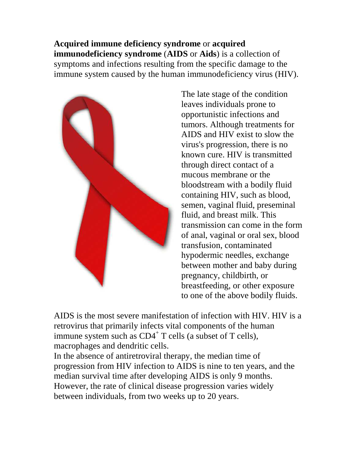**Acquired immune deficiency syndrome** or **acquired immunodeficiency syndrome** (**AIDS** or **Aids**) is a collection of symptoms and infections resulting from the specific damage to the immune system caused by the human immunodeficiency virus (HIV).



The late stage of the condition leaves individuals prone to opportunistic infections and tumors. Although treatments for AIDS and HIV exist to slow the virus's progression, there is no known cure. HIV is transmitted through direct contact of a mucous membrane or the bloodstream with a bodily fluid containing HIV, such as blood, semen, vaginal fluid, preseminal fluid, and breast milk. This transmission can come in the form of anal, vaginal or oral sex, blood transfusion, contaminated hypodermic needles, exchange between mother and baby during pregnancy, childbirth, or breastfeeding, or other exposure to one of the above bodily fluids.

AIDS is the most severe manifestation of infection with HIV. HIV is a retrovirus that primarily infects vital components of the human immune system such as  $CD4^+$  T cells (a subset of T cells), macrophages and dendritic cells.

In the absence of antiretroviral therapy, the median time of progression from HIV infection to AIDS is nine to ten years, and the median survival time after developing AIDS is only 9 months. However, the rate of clinical disease progression varies widely between individuals, from two weeks up to 20 years.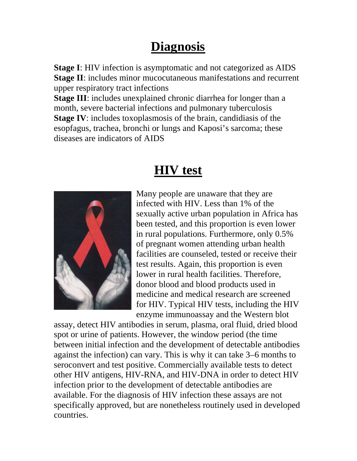#### **Diagnosis**

**Stage I**: HIV infection is asymptomatic and not categorized as AIDS **Stage II**: includes minor mucocutaneous manifestations and recurrent upper respiratory tract infections

**Stage III**: includes unexplained chronic diarrhea for longer than a month, severe bacterial infections and pulmonary tuberculosis **Stage IV**: includes toxoplasmosis of the brain, candidiasis of the esopfagus, trachea, bronchi or lungs and Kaposi's sarcoma; these diseases are indicators of AIDS

## **HIV test**



Many people are unaware that they are infected with HIV. Less than 1% of the sexually active urban population in Africa has been tested, and this proportion is even lower in rural populations. Furthermore, only 0.5% of pregnant women attending urban health facilities are counseled, tested or receive their test results. Again, this proportion is even lower in rural health facilities. Therefore, donor blood and blood products used in medicine and medical research are screened for HIV. Typical HIV tests, including the HIV enzyme immunoassay and the Western blot

assay, detect HIV antibodies in serum, plasma, oral fluid, dried blood spot or urine of patients. However, the window period (the time between initial infection and the development of detectable antibodies against the infection) can vary. This is why it can take 3–6 months to seroconvert and test positive. Commercially available tests to detect other HIV antigens, HIV-RNA, and HIV-DNA in order to detect HIV infection prior to the development of detectable antibodies are available. For the diagnosis of HIV infection these assays are not specifically approved, but are nonetheless routinely used in developed countries.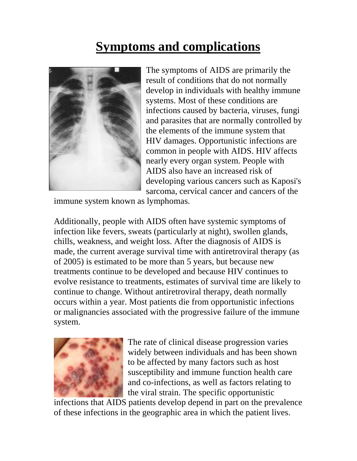## **Symptoms and complications**



The symptoms of AIDS are primarily the result of conditions that do not normally develop in individuals with healthy immune systems. Most of these conditions are infections caused by bacteria, viruses, fungi and parasites that are normally controlled by the elements of the immune system that HIV damages. Opportunistic infections are common in people with AIDS. HIV affects nearly every organ system. People with AIDS also have an increased risk of developing various cancers such as Kaposi's sarcoma, cervical cancer and cancers of the

immune system known as lymphomas.

Additionally, people with AIDS often have systemic symptoms of infection like fevers, sweats (particularly at night), swollen glands, chills, weakness, and weight loss. After the diagnosis of AIDS is made, the current average survival time with antiretroviral therapy (as of 2005) is estimated to be more than 5 years, but because new treatments continue to be developed and because HIV continues to evolve resistance to treatments, estimates of survival time are likely to continue to change. Without antiretroviral therapy, death normally occurs within a year. Most patients die from opportunistic infections or malignancies associated with the progressive failure of the immune system.



The rate of clinical disease progression varies widely between individuals and has been shown to be affected by many factors such as host susceptibility and immune function health care and co-infections, as well as factors relating to the viral strain. The specific opportunistic

infections that AIDS patients develop depend in part on the prevalence of these infections in the geographic area in which the patient lives.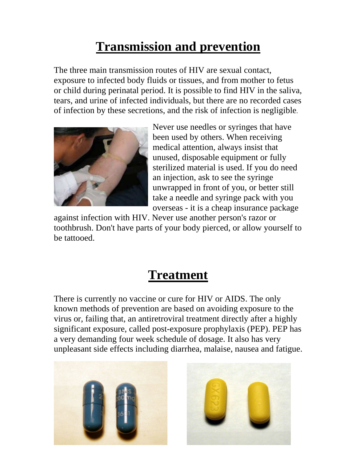## **Transmission and prevention**

The three main transmission routes of HIV are sexual contact, exposure to infected body fluids or tissues, and from mother to fetus or child during perinatal period. It is possible to find HIV in the saliva, tears, and urine of infected individuals, but there are no recorded cases of infection by these secretions, and the risk of infection is negligible.



Never use needles or syringes that have been used by others. When receiving medical attention, always insist that unused, disposable equipment or fully sterilized material is used. If you do need an injection, ask to see the syringe unwrapped in front of you, or better still take a needle and syringe pack with you overseas - it is a cheap insurance package

against infection with HIV. Never use another person's razor or toothbrush. Don't have parts of your body pierced, or allow yourself to be tattooed.

#### **Treatment**

There is currently no vaccine or cure for HIV or AIDS. The only known methods of prevention are based on avoiding exposure to the virus or, failing that, an antiretroviral treatment directly after a highly significant exposure, called post-exposure prophylaxis (PEP). PEP has a very demanding four week schedule of dosage. It also has very unpleasant side effects including diarrhea, malaise, nausea and fatigue.



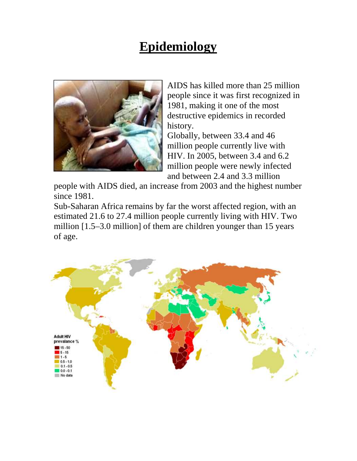#### **Epidemiology**



AIDS has killed more than 25 million people since it was first recognized in 1981, making it one of the most destructive epidemics in recorded history.

Globally, between 33.4 and 46 million people currently live with HIV. In 2005, between 3.4 and 6.2 million people were newly infected and between 2.4 and 3.3 million

people with AIDS died, an increase from 2003 and the highest number since 1981.

Sub-Saharan Africa remains by far the worst affected region, with an estimated 21.6 to 27.4 million people currently living with HIV. Two million [1.5–3.0 million] of them are children younger than 15 years of age.